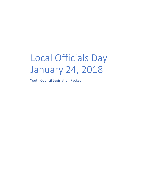# Local Officials Day January 24, 2018

Youth Council Legislation Packet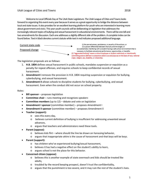Welcome to Local Officials Day at The Utah State Legislature. The Utah League of Cities and Towns looks forward to organizing this event every year because it serves as a great opportunity to bridge the distance between local and state issues. It also provides for an excellent learning platform for youth who are interested in learning more about government and civics. This year youth councils will be deliberating on legislation that addresses the increasingly relevant topics of bullying and sexual harassment in educational environments. There will be one bill and two amendments for discussion. Each one addresses a slightly different side of the problem. A complete index can be found below. Text in black denotes current statute while text in red indicates proposed additional language.



The legislation proposals are as follows:

1. **H.B. 1804** defines sexual harassment in public schools, mandates suspension or expulsion as a penalty for repeat offenses, and requires schools to keep confidential records of sexual harassment.

origin, religion, sex, disability, or citizenship.

- 2. **Amendment I** removes the provision in H.B. 1804 requiring suspension or expulsion for bullying, cyberbullying, and sexual harassment.
- 3. **Amendment II** allows schools to discipline students for bullying, cyberbullying, and sexual harassment. Even when the conduct did not occur on school property.

Roles:

- **Bill sponsor** proposes legislation
- **Committee chair** runs meeting and recognizes speakers
- **Committee members** (up to 12) debate and vote on legislation
- **Amendment I sponsor** (committee member) proposes Amendment I
- **Amendment II sponsor** (committee member) proposes Amendment II
- **Teacher (support):**
	- o sees this every day,
	- o believes current definition of bullying is insufficient for addressing unwanted sexual advances,
	- o argues that teachers and administrators need these tools.
- **Parent (oppose):**
	- o believes kids flirt where should the line be drawn on harassing behavior,
	- o argues that inappropriate attire is the cause of harassment and that boys will be boys.
- **Parent (support):**
	- o has children who've experienced bullying/sexual harassment,
	- o believes it has had a negative effect on the student's ability to learn,
	- o argues school is not the place for this behavior.
- **Concerned citizen (oppose)**:
	- o believes this is another example of state overreach and kids should be treated like adults,
	- o troubled by the record keeping prospect, doesn't trust the confidentiality,
	- o argues that the punishment is too severe, and it may ruin the rest of the student's lives.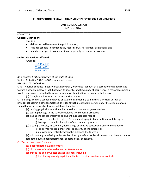# **PUBLIC SCHOOL SEXUAL HARASSMENT PREVENTION AMENDMENTS**

2018 GENERAL SESSION STATE OF UTAH

#### **LONG TITLE**

#### **General Description:**

This bill:

- defines sexual harassment in public schools;
- requires schools to confidentially record sexual harassment allegations; and

**\_\_\_\_\_\_\_\_\_\_\_\_\_\_\_\_\_\_\_\_\_\_\_\_\_\_\_\_\_\_\_\_\_\_\_\_\_\_\_\_\_\_\_\_\_\_\_\_\_\_\_\_\_\_\_\_\_\_\_\_\_\_\_\_\_\_\_\_\_\_\_\_\_\_\_\_\_\_**

mandates suspension or expulsion as a penalty for sexual harassment.

**\_\_\_\_\_\_\_\_\_\_\_\_\_\_\_\_\_\_\_\_\_\_\_\_\_\_\_\_\_\_\_\_\_\_\_\_\_\_\_\_\_\_\_\_\_\_\_\_\_\_\_\_\_\_\_\_\_\_\_\_\_\_\_\_\_\_\_\_\_\_\_\_\_\_\_\_**

#### **Utah Code Sections Affected:**

Amends:

53A‐11a‐102 53A‐11a‐201 53A‐11‐904

*Be it enacted by the Legislature of the state of Utah*

Section 1. Section 53A-11a-102 is amended to read:

#### **53A‐11a‐102. Definitions.**

(1)(a) "Abusive conduct" means verbal, nonverbal, or physical conduct of a parent or student directed toward a school employee that, based on its severity, and frequency of occurrence, a reasonable person would determine Is intended to cause intimidation, humiliation, or unwarranted stress.

(b) A single act does not constitute abusive conduct.

(2) "Bullying" means a school employee or student intentionally committing a written, verbal, or physical act against a school employee or student that a reasonable person under the circumstances should know or reasonably foresee will have the effect of:

(a) causing physical or emotional harm to the school employee or student;

- (b) causing damage to the school employee's or student's property;
- (c) placing the school employee or student in reasonable fear of:
	- (i) harm to the school employee's or student's physical or emotional well‐being; or
	- (i) damage to the school employee's or student's property;

(d) creating a hostile, threatening, humiliating, or abusive educational environment due to:

- (i) the pervasiveness, persistence, or severity of the actions; or
- (ii) a power differential between the bully and the target; or
- (e) substantially interfering with a student having a safe school environment that is necessary to facilitate educational performance, opportunities, or benefits.

# (3) "Sexual harassment" means:

(a) inappropriate physical contact;

(b) obscene or offensive verbal and written remarks;

(c) unsolicited and unwanted sexual advances including:

(i) distributing sexually explicit media, text, or other content electronically.

\_\_\_\_\_\_\_\_\_\_\_\_\_\_\_\_\_\_\_\_\_\_\_\_\_\_\_\_\_\_\_\_\_\_\_\_\_\_\_\_\_\_\_\_\_\_\_\_\_\_\_\_\_\_\_\_\_\_\_\_\_\_\_\_\_\_\_\_\_\_\_\_\_\_\_\_\_\_\_\_\_\_\_\_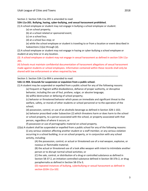Section 2. Section 53A‐11a‐201 is amended to read:

# **53A‐11a‐201. Bullying, hazing, cyber‐bullying, and sexual harassment prohibited.**

(1) A school employee or student may not engage in bullying a school employee or student:

(a) on school property;

(b) at a school related or sponsored event;

(c) on a school bus;

(d) at a school bus stop; or

(e) while the school employee or student is traveling to or from a location or event described in Subsections (1)(a) through (d).

(2) A school employee or student may not engage in hazing or cyber‐bullying a school employee or student at any time or in any location.

(3) A school employee or student may not engage in sexual harassment as defined in section 53A‐11a‐ 201.

(4) Schools must maintain confidential documentation of harassment allegations of sexual harassment made against students or school employees. Information contained within these records shall only be shared with law enforcement or when required by law.

Section 3. Section 53A‐11a‐904 is amended to read:

#### **53A‐11‐904. Grounds for suspension or expulsion from a public school.**

(1) A student may be suspended or expelled from a public school for any of the following reasons:

\_\_\_\_\_\_\_\_\_\_\_\_\_\_\_\_\_\_\_\_\_\_\_\_\_\_\_\_\_\_\_\_\_\_\_\_\_\_\_\_\_\_\_\_\_\_\_\_\_\_\_\_\_\_\_\_\_\_\_\_\_\_\_\_\_\_\_\_\_\_\_\_\_\_\_\_

(a) frequent or flagrant willful disobedience, defiance of proper authority, or disruptive behavior, including the use of foul, profane, vulgar, or abusive language;

(b) willful destruction or defacing of school property;

(c) behavior or threatened behavior which poses an immediate and significant threat to the welfare, safety, or morals of other students or school personnel or to the operation of the school;

(d) possession, control, or use of an alcoholic beverage as defined in Section 32B‐1‐102;

(e) behavior proscribed under Subsection (2) which threatens harm or does harm to the school or school property, to a person associated with the school, or property associated with that person, regardless of where it occurs; or

(f) possession or use of pornographic material on school property.

(2)(a) A student shall be suspended or expelled from a public school for any of the following reasons: (i) any serious violation affecting another student or a staff member, or any serious violation occurring in a school building, in or on school property, or in conjunction with any school activity, including:

> (A) the possession, control, or actual or threatened use of a real weapon, explosive, or noxious or flammable material;

(B) the actual or threatened use of a look alike weapon with intent to intimidate another person or to disrupt normal school activities; or

(C) the sale, control, or distribution of a drug or controlled substance as defined in Section 58‐37‐2, an imitation controlled substance defined in Section 58‐37b‐2, or drug paraphernalia as defined in Section 58‐37a‐3;

(D) repeated instances of bullying, cyberbullying or sexual harassment as defined in section §53A‐11a‐102.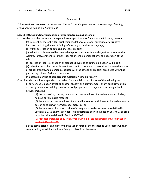#### Amendment I

*This amendment removes the provision in H.B. 1804 requiring suspension or expulsion for bullying, cyberbullying, and sexual harassment.*

# **53A‐11‐904. Grounds for suspension or expulsion from a public school.**

(1) A student may be suspended or expelled from a public school for any of the following reasons:

(a) frequent or flagrant willful disobedience, defiance of proper authority, or disruptive behavior, including the use of foul, profane, vulgar, or abusive language;

(b) willful destruction or defacing of school property;

(c) behavior or threatened behavior which poses an immediate and significant threat to the welfare, safety, or morals of other students or school personnel or to the operation of the school;

(d) possession, control, or use of an alcoholic beverage as defined in Section 32B‐1‐102; (e) behavior proscribed under Subsection (2) which threatens harm or does harm to the school

or school property, to a person associated with the school, or property associated with that person, regardless of where it occurs; or

(f) possession or use of pornographic material on school property.

(2)(a) A student shall be suspended or expelled from a public school for any of the following reasons: (i) any serious violation affecting another student or a staff member, or any serious violation occurring in a school building, in or on school property, or in conjunction with any school activity, including:

> (A) the possession, control, or actual or threatened use of a real weapon, explosive, or noxious or flammable material;

(B) the actual or threatened use of a look alike weapon with intent to intimidate another person or to disrupt normal school activities; or

(C) the sale, control, or distribution of a drug or controlled substance as defined in Section 58‐37‐2, an imitation controlled substance defined in Section 58‐37b‐2, or drug paraphernalia as defined in Section 58‐37a‐3;

(D) repeated instances of bullying, cyberbullying, or sexual harassment, as defined in section §53A‐11a‐102.

(ii) the commission of an act involving the use of force or the threatened use of force which if committed by an adult would be a felony or class A misdemeanor.